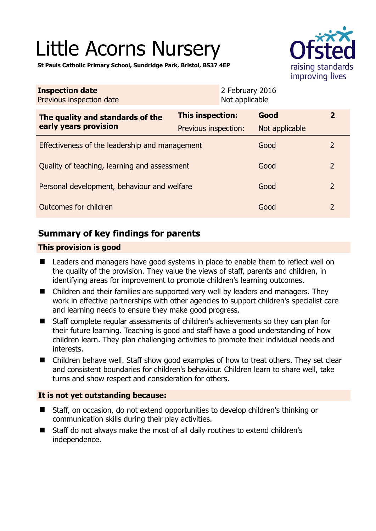# Little Acorns Nursery



**St Pauls Catholic Primary School, Sundridge Park, Bristol, BS37 4EP** 

| <b>Inspection date</b><br>Previous inspection date |                         | 2 February 2016<br>Not applicable |                |              |
|----------------------------------------------------|-------------------------|-----------------------------------|----------------|--------------|
| The quality and standards of the                   | <b>This inspection:</b> |                                   | Good           | $\mathbf{2}$ |
| early years provision                              | Previous inspection:    |                                   | Not applicable |              |
| Effectiveness of the leadership and management     |                         |                                   | Good           | 2            |
| Quality of teaching, learning and assessment       |                         |                                   | Good           | 2            |
| Personal development, behaviour and welfare        |                         |                                   | Good           | 2            |
| Outcomes for children                              |                         |                                   | Good           | 2            |

# **Summary of key findings for parents**

## **This provision is good**

- Leaders and managers have good systems in place to enable them to reflect well on the quality of the provision. They value the views of staff, parents and children, in identifying areas for improvement to promote children's learning outcomes.
- Children and their families are supported very well by leaders and managers. They work in effective partnerships with other agencies to support children's specialist care and learning needs to ensure they make good progress.
- Staff complete regular assessments of children's achievements so they can plan for their future learning. Teaching is good and staff have a good understanding of how children learn. They plan challenging activities to promote their individual needs and interests.
- Children behave well. Staff show good examples of how to treat others. They set clear and consistent boundaries for children's behaviour. Children learn to share well, take turns and show respect and consideration for others.

## **It is not yet outstanding because:**

- Staff, on occasion, do not extend opportunities to develop children's thinking or communication skills during their play activities.
- Staff do not always make the most of all daily routines to extend children's independence.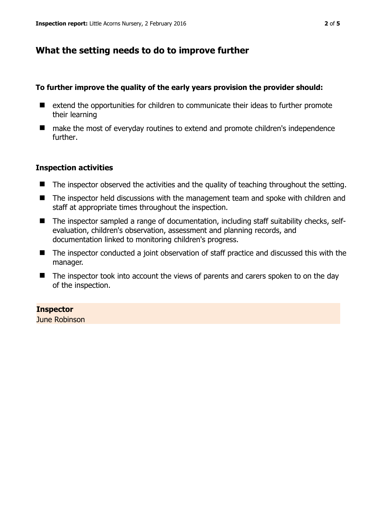# **What the setting needs to do to improve further**

#### **To further improve the quality of the early years provision the provider should:**

- extend the opportunities for children to communicate their ideas to further promote their learning
- make the most of everyday routines to extend and promote children's independence further.

### **Inspection activities**

- The inspector observed the activities and the quality of teaching throughout the setting.
- The inspector held discussions with the management team and spoke with children and staff at appropriate times throughout the inspection.
- The inspector sampled a range of documentation, including staff suitability checks, selfevaluation, children's observation, assessment and planning records, and documentation linked to monitoring children's progress.
- The inspector conducted a joint observation of staff practice and discussed this with the manager.
- The inspector took into account the views of parents and carers spoken to on the day of the inspection.

## **Inspector**

June Robinson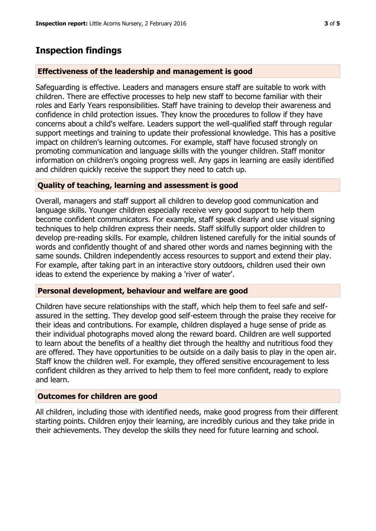## **Inspection findings**

#### **Effectiveness of the leadership and management is good**

Safeguarding is effective. Leaders and managers ensure staff are suitable to work with children. There are effective processes to help new staff to become familiar with their roles and Early Years responsibilities. Staff have training to develop their awareness and confidence in child protection issues. They know the procedures to follow if they have concerns about a child's welfare. Leaders support the well-qualified staff through regular support meetings and training to update their professional knowledge. This has a positive impact on children's learning outcomes. For example, staff have focused strongly on promoting communication and language skills with the younger children. Staff monitor information on children's ongoing progress well. Any gaps in learning are easily identified and children quickly receive the support they need to catch up.

#### **Quality of teaching, learning and assessment is good**

Overall, managers and staff support all children to develop good communication and language skills. Younger children especially receive very good support to help them become confident communicators. For example, staff speak clearly and use visual signing techniques to help children express their needs. Staff skilfully support older children to develop pre-reading skills. For example, children listened carefully for the initial sounds of words and confidently thought of and shared other words and names beginning with the same sounds. Children independently access resources to support and extend their play. For example, after taking part in an interactive story outdoors, children used their own ideas to extend the experience by making a 'river of water'.

#### **Personal development, behaviour and welfare are good**

Children have secure relationships with the staff, which help them to feel safe and selfassured in the setting. They develop good self-esteem through the praise they receive for their ideas and contributions. For example, children displayed a huge sense of pride as their individual photographs moved along the reward board. Children are well supported to learn about the benefits of a healthy diet through the healthy and nutritious food they are offered. They have opportunities to be outside on a daily basis to play in the open air. Staff know the children well. For example, they offered sensitive encouragement to less confident children as they arrived to help them to feel more confident, ready to explore and learn.

#### **Outcomes for children are good**

All children, including those with identified needs, make good progress from their different starting points. Children enjoy their learning, are incredibly curious and they take pride in their achievements. They develop the skills they need for future learning and school.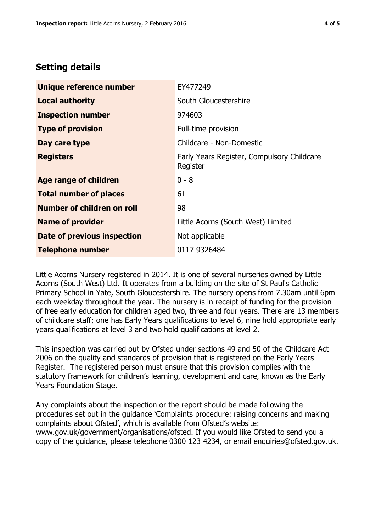# **Setting details**

| Unique reference number       | EY477249                                               |  |  |
|-------------------------------|--------------------------------------------------------|--|--|
| <b>Local authority</b>        | South Gloucestershire                                  |  |  |
| <b>Inspection number</b>      | 974603                                                 |  |  |
| <b>Type of provision</b>      | Full-time provision                                    |  |  |
| Day care type                 | Childcare - Non-Domestic                               |  |  |
| <b>Registers</b>              | Early Years Register, Compulsory Childcare<br>Register |  |  |
| <b>Age range of children</b>  | $0 - 8$                                                |  |  |
| <b>Total number of places</b> | 61                                                     |  |  |
| Number of children on roll    | 98                                                     |  |  |
| <b>Name of provider</b>       | Little Acorns (South West) Limited                     |  |  |
| Date of previous inspection   | Not applicable                                         |  |  |
| <b>Telephone number</b>       | 0117 9326484                                           |  |  |

Little Acorns Nursery registered in 2014. It is one of several nurseries owned by Little Acorns (South West) Ltd. It operates from a building on the site of St Paul's Catholic Primary School in Yate, South Gloucestershire. The nursery opens from 7.30am until 6pm each weekday throughout the year. The nursery is in receipt of funding for the provision of free early education for children aged two, three and four years. There are 13 members of childcare staff; one has Early Years qualifications to level 6, nine hold appropriate early years qualifications at level 3 and two hold qualifications at level 2.

This inspection was carried out by Ofsted under sections 49 and 50 of the Childcare Act 2006 on the quality and standards of provision that is registered on the Early Years Register. The registered person must ensure that this provision complies with the statutory framework for children's learning, development and care, known as the Early Years Foundation Stage.

Any complaints about the inspection or the report should be made following the procedures set out in the guidance 'Complaints procedure: raising concerns and making complaints about Ofsted', which is available from Ofsted's website: www.gov.uk/government/organisations/ofsted. If you would like Ofsted to send you a copy of the guidance, please telephone 0300 123 4234, or email enquiries@ofsted.gov.uk.